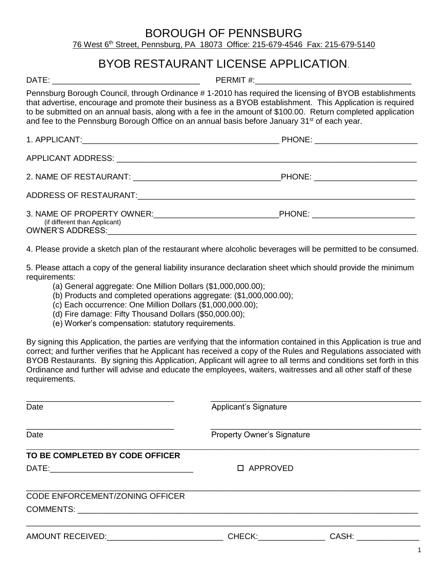#### BOROUGH OF PENNSBURG 76 West 6 th Street, Pennsburg, PA 18073 Office: 215-679-4546 Fax: 215-679-5140

## BYOB RESTAURANT LICENSE APPLICATION.

DATE: \_\_\_\_\_\_\_\_\_\_\_\_\_\_\_\_\_\_\_\_\_\_\_\_\_\_\_\_\_\_\_\_\_ PERMIT #:\_\_\_\_\_\_\_\_\_\_\_\_\_\_\_\_\_\_\_\_\_\_\_\_\_\_\_\_\_\_\_\_\_\_\_

Pennsburg Borough Council, through Ordinance # 1-2010 has required the licensing of BYOB establishments that advertise, encourage and promote their business as a BYOB establishment. This Application is required to be submitted on an annual basis, along with a fee in the amount of \$100.00. Return completed application and fee to the Pennsburg Borough Office on an annual basis before January 31<sup>st</sup> of each year.

| (if different than Applicant) | PHONE: ___________________________ |
|-------------------------------|------------------------------------|

4. Please provide a sketch plan of the restaurant where alcoholic beverages will be permitted to be consumed.

5. Please attach a copy of the general liability insurance declaration sheet which should provide the minimum requirements:

- (a) General aggregate: One Million Dollars (\$1,000,000.00);
- (b) Products and completed operations aggregate: (\$1,000,000.00);
- (c) Each occurrence: One Million Dollars (\$1,000,000.00);
- (d) Fire damage: Fifty Thousand Dollars (\$50,000.00);
- (e) Worker's compensation: statutory requirements.

By signing this Application, the parties are verifying that the information contained in this Application is true and correct; and further verifies that he Applicant has received a copy of the Rules and Regulations associated with BYOB Restaurants. By signing this Application, Applicant will agree to all terms and conditions set forth in this Ordinance and further will advise and educate the employees, waiters, waitresses and all other staff of these requirements.

| Date                                        | Applicant's Signature             |              |  |  |  |  |  |  |  |  |  |  |  |
|---------------------------------------------|-----------------------------------|--------------|--|--|--|--|--|--|--|--|--|--|--|
| Date                                        | <b>Property Owner's Signature</b> |              |  |  |  |  |  |  |  |  |  |  |  |
|                                             |                                   |              |  |  |  |  |  |  |  |  |  |  |  |
| TO BE COMPLETED BY CODE OFFICER             |                                   |              |  |  |  |  |  |  |  |  |  |  |  |
|                                             | □ APPROVED                        |              |  |  |  |  |  |  |  |  |  |  |  |
|                                             |                                   |              |  |  |  |  |  |  |  |  |  |  |  |
| CODE ENFORCEMENT/ZONING OFFICER             |                                   |              |  |  |  |  |  |  |  |  |  |  |  |
|                                             |                                   |              |  |  |  |  |  |  |  |  |  |  |  |
|                                             |                                   |              |  |  |  |  |  |  |  |  |  |  |  |
| AMOUNT RECEIVED:___________________________ |                                   | CHECK: CASH: |  |  |  |  |  |  |  |  |  |  |  |
|                                             |                                   |              |  |  |  |  |  |  |  |  |  |  |  |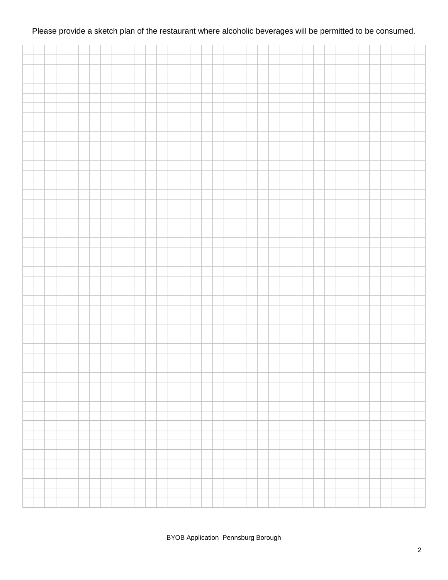#### Please provide a sketch plan of the restaurant where alcoholic beverages will be permitted to be consumed.